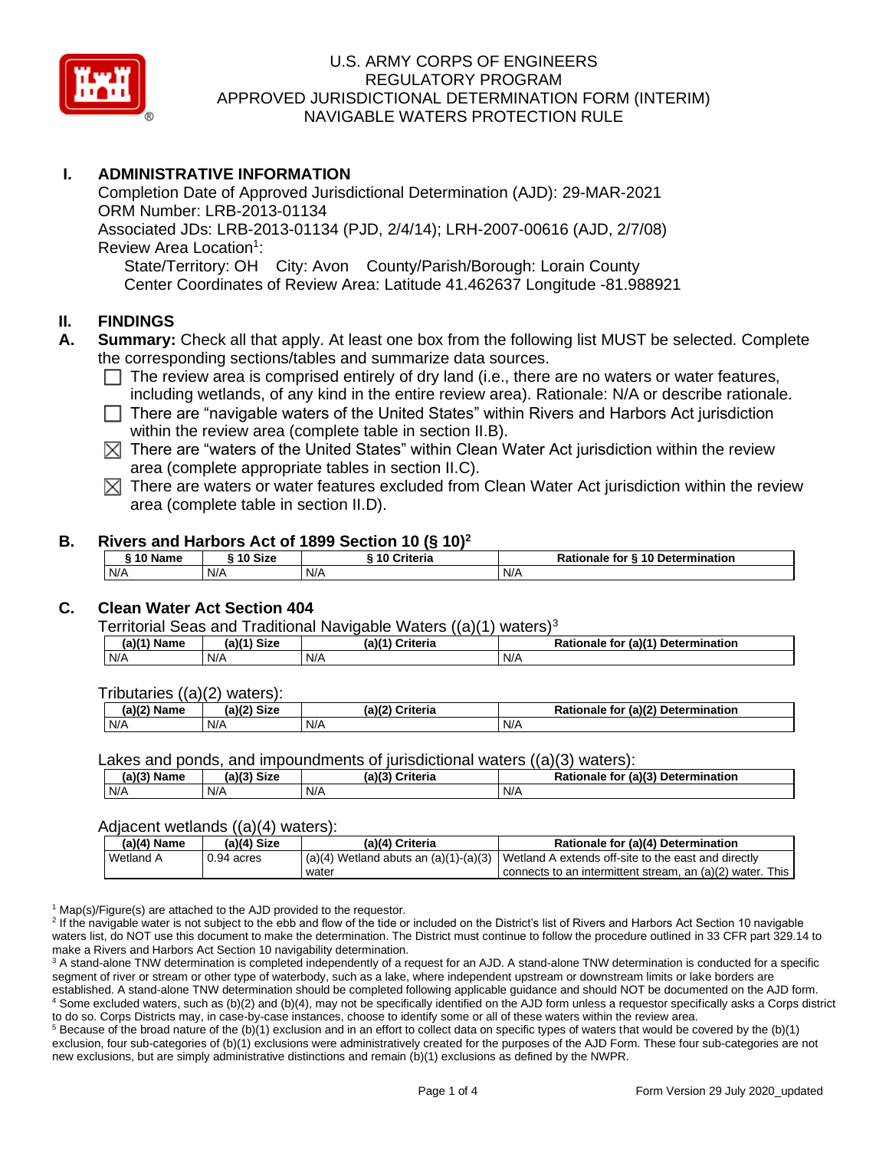

# **I. ADMINISTRATIVE INFORMATION**

Completion Date of Approved Jurisdictional Determination (AJD): 29-MAR-2021 ORM Number: LRB-2013-01134 Associated JDs: LRB-2013-01134 (PJD, 2/4/14); LRH-2007-00616 (AJD, 2/7/08) Review Area Location<sup>1</sup>: State/Territory: OH City: Avon County/Parish/Borough: Lorain County Center Coordinates of Review Area: Latitude 41.462637 Longitude -81.988921

### **II. FINDINGS**

- **A. Summary:** Check all that apply. At least one box from the following list MUST be selected. Complete the corresponding sections/tables and summarize data sources.
	- $\Box$  The review area is comprised entirely of dry land (i.e., there are no waters or water features, including wetlands, of any kind in the entire review area). Rationale: N/A or describe rationale.
	- $\Box$  There are "navigable waters of the United States" within Rivers and Harbors Act jurisdiction within the review area (complete table in section II.B).
	- $\boxtimes$  There are "waters of the United States" within Clean Water Act jurisdiction within the review area (complete appropriate tables in section II.C).
	- $\boxtimes$  There are waters or water features excluded from Clean Water Act jurisdiction within the review area (complete table in section II.D).

### **B. Rivers and Harbors Act of 1899 Section 10 (§ 10)<sup>2</sup>**

| <sub>ີ</sub> 10 Name | $\hat{ }$ 10 Size | ----<br>10 Criteria | Rationale for § 10 Determination |  |  |
|----------------------|-------------------|---------------------|----------------------------------|--|--|
| N/A                  | N/A               | N/A                 | N/A                              |  |  |

# **C. Clean Water Act Section 404**

Territorial Seas and Traditional Navigable Waters  $((a)(1)$  waters)<sup>3</sup>

| (21/4)<br>$ -$<br>Name | <b>Size</b><br>$(a)$ $(4)$ | (a)'<br>riteria | $(ab)^{4}$<br><b>Determination</b><br>- -- -<br>tor<br>nale |
|------------------------|----------------------------|-----------------|-------------------------------------------------------------|
| N/A                    | N/A                        | N/A             | N/A                                                         |

Tributaries ((a)(2) waters):

| (A)<br>Namo<br>ne | <b>Size</b><br>-1171 | 100<br>$\cap$ riteria | $. (a)$ ( $2$<br><b>Determination</b><br>.<br>tor<br>naie |
|-------------------|----------------------|-----------------------|-----------------------------------------------------------|
| N/A               | N/A                  | N/A                   | N/A                                                       |

Lakes and ponds, and impoundments of jurisdictional waters ((a)(3) waters):

| (a)(3) Name | C <sub>1</sub><br>$(a)$ ( $\degree$<br>ыzе | (a)(3)<br><b>Criteria</b> | (a)(3) Determination<br>Rationale<br>for |
|-------------|--------------------------------------------|---------------------------|------------------------------------------|
| N/A         | N/A                                        | N/A                       | N/A                                      |

#### Adjacent wetlands ((a)(4) waters):

| $(a)(4)$ Name | (a)(4) Size<br>(a)(4) Criteria |       | Rationale for (a)(4) Determination                                                            |  |
|---------------|--------------------------------|-------|-----------------------------------------------------------------------------------------------|--|
| Wetland A     | 0.94 acres                     |       | $(a)(4)$ Wetland abuts an $(a)(1)-(a)(3)$ Wetland A extends off-site to the east and directly |  |
|               |                                | water | connects to an intermittent stream, an (a)(2) water. This                                     |  |

 $1$  Map(s)/Figure(s) are attached to the AJD provided to the requestor.

<sup>2</sup> If the navigable water is not subject to the ebb and flow of the tide or included on the District's list of Rivers and Harbors Act Section 10 navigable waters list, do NOT use this document to make the determination. The District must continue to follow the procedure outlined in 33 CFR part 329.14 to make a Rivers and Harbors Act Section 10 navigability determination.

<sup>3</sup> A stand-alone TNW determination is completed independently of a request for an AJD. A stand-alone TNW determination is conducted for a specific segment of river or stream or other type of waterbody, such as a lake, where independent upstream or downstream limits or lake borders are established. A stand-alone TNW determination should be completed following applicable guidance and should NOT be documented on the AJD form. <sup>4</sup> Some excluded waters, such as (b)(2) and (b)(4), may not be specifically identified on the AJD form unless a requestor specifically asks a Corps district to do so. Corps Districts may, in case-by-case instances, choose to identify some or all of these waters within the review area.

 $5$  Because of the broad nature of the (b)(1) exclusion and in an effort to collect data on specific types of waters that would be covered by the (b)(1) exclusion, four sub-categories of (b)(1) exclusions were administratively created for the purposes of the AJD Form. These four sub-categories are not new exclusions, but are simply administrative distinctions and remain (b)(1) exclusions as defined by the NWPR.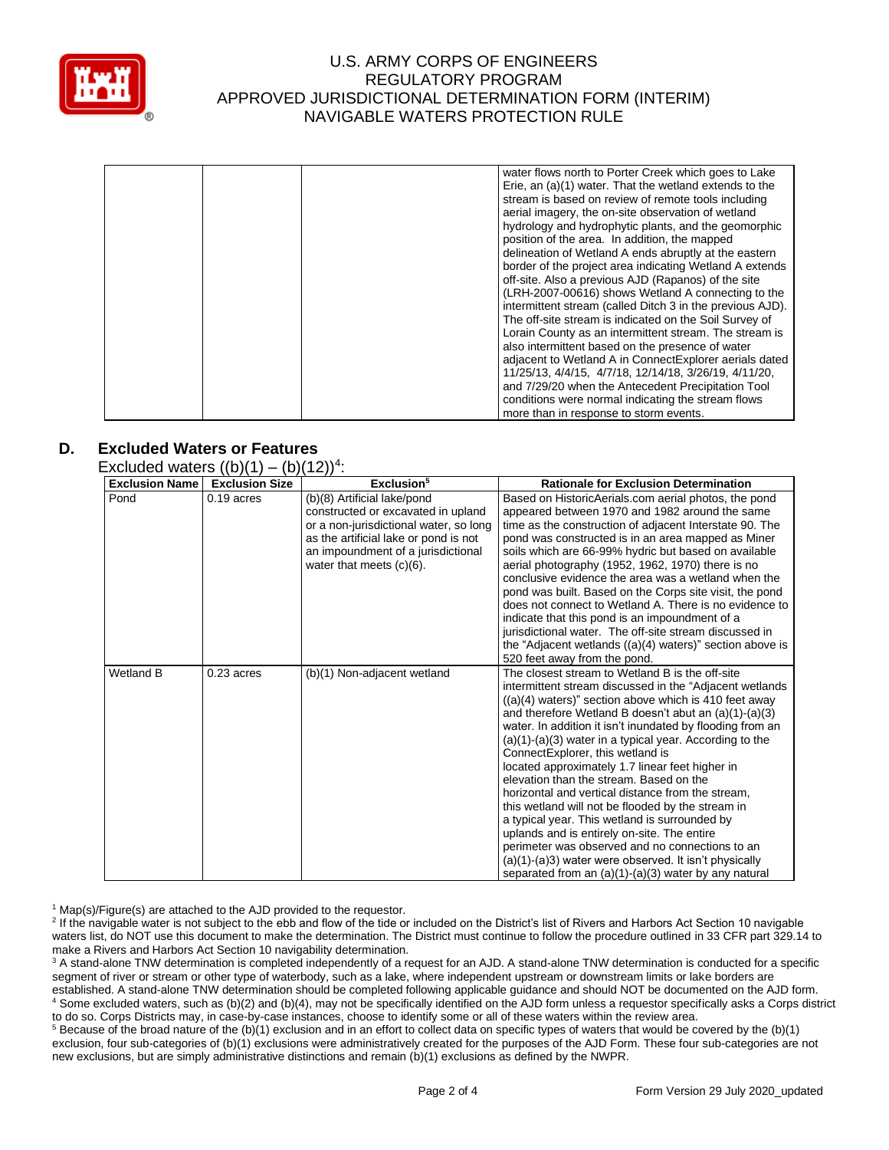

|  |  | water flows north to Porter Creek which goes to Lake<br>Erie, an (a)(1) water. That the wetland extends to the<br>stream is based on review of remote tools including |
|--|--|-----------------------------------------------------------------------------------------------------------------------------------------------------------------------|
|  |  | aerial imagery, the on-site observation of wetland                                                                                                                    |
|  |  | hydrology and hydrophytic plants, and the geomorphic                                                                                                                  |
|  |  | position of the area. In addition, the mapped                                                                                                                         |
|  |  | delineation of Wetland A ends abruptly at the eastern                                                                                                                 |
|  |  | border of the project area indicating Wetland A extends                                                                                                               |
|  |  | off-site. Also a previous AJD (Rapanos) of the site                                                                                                                   |
|  |  | (LRH-2007-00616) shows Wetland A connecting to the                                                                                                                    |
|  |  | intermittent stream (called Ditch 3 in the previous AJD).                                                                                                             |
|  |  | The off-site stream is indicated on the Soil Survey of                                                                                                                |
|  |  | Lorain County as an intermittent stream. The stream is                                                                                                                |
|  |  | also intermittent based on the presence of water                                                                                                                      |
|  |  | adjacent to Wetland A in ConnectExplorer aerials dated                                                                                                                |
|  |  | 11/25/13, 4/4/15, 4/7/18, 12/14/18, 3/26/19, 4/11/20,                                                                                                                 |
|  |  | and 7/29/20 when the Antecedent Precipitation Tool                                                                                                                    |
|  |  | conditions were normal indicating the stream flows                                                                                                                    |
|  |  | more than in response to storm events.                                                                                                                                |

# **D. Excluded Waters or Features**

Excluded waters  $((b)(1) - (b)(12))^4$ :

| <b>Exclusion Name</b> | $\cup$ ( $\cup$ /( $\cup$ /( $\cup$ /( $\cup$ // $\cup$ // $\cup$<br><b>Exclusion Size</b> | Exclusion <sup>5</sup>                                                                                                                                                                                                    | <b>Rationale for Exclusion Determination</b>                                                                                                                                                                                                                                                                                                                                                                                                                                                                                                                                                                                                                                                                                                                                                                                                                              |
|-----------------------|--------------------------------------------------------------------------------------------|---------------------------------------------------------------------------------------------------------------------------------------------------------------------------------------------------------------------------|---------------------------------------------------------------------------------------------------------------------------------------------------------------------------------------------------------------------------------------------------------------------------------------------------------------------------------------------------------------------------------------------------------------------------------------------------------------------------------------------------------------------------------------------------------------------------------------------------------------------------------------------------------------------------------------------------------------------------------------------------------------------------------------------------------------------------------------------------------------------------|
| Pond                  | $0.19$ acres                                                                               | (b)(8) Artificial lake/pond<br>constructed or excavated in upland<br>or a non-jurisdictional water, so long<br>as the artificial lake or pond is not<br>an impoundment of a jurisdictional<br>water that meets $(c)(6)$ . | Based on HistoricAerials.com aerial photos, the pond<br>appeared between 1970 and 1982 around the same<br>time as the construction of adjacent Interstate 90. The<br>pond was constructed is in an area mapped as Miner<br>soils which are 66-99% hydric but based on available<br>aerial photography (1952, 1962, 1970) there is no<br>conclusive evidence the area was a wetland when the<br>pond was built. Based on the Corps site visit, the pond<br>does not connect to Wetland A. There is no evidence to<br>indicate that this pond is an impoundment of a<br>jurisdictional water. The off-site stream discussed in<br>the "Adjacent wetlands $((a)(4)$ waters)" section above is<br>520 feet away from the pond.                                                                                                                                                |
| Wetland B             | $0.23$ acres                                                                               | (b)(1) Non-adjacent wetland                                                                                                                                                                                               | The closest stream to Wetland B is the off-site<br>intermittent stream discussed in the "Adjacent wetlands"<br>$((a)(4)$ waters)" section above which is 410 feet away<br>and therefore Wetland B doesn't abut an (a)(1)-(a)(3)<br>water. In addition it isn't inundated by flooding from an<br>$(a)(1)-(a)(3)$ water in a typical year. According to the<br>ConnectExplorer, this wetland is<br>located approximately 1.7 linear feet higher in<br>elevation than the stream. Based on the<br>horizontal and vertical distance from the stream,<br>this wetland will not be flooded by the stream in<br>a typical year. This wetland is surrounded by<br>uplands and is entirely on-site. The entire<br>perimeter was observed and no connections to an<br>(a)(1)-(a)3) water were observed. It isn't physically<br>separated from an (a)(1)-(a)(3) water by any natural |

 $1$  Map(s)/Figure(s) are attached to the AJD provided to the requestor.

<sup>2</sup> If the navigable water is not subject to the ebb and flow of the tide or included on the District's list of Rivers and Harbors Act Section 10 navigable waters list, do NOT use this document to make the determination. The District must continue to follow the procedure outlined in 33 CFR part 329.14 to make a Rivers and Harbors Act Section 10 navigability determination.

<sup>3</sup> A stand-alone TNW determination is completed independently of a request for an AJD. A stand-alone TNW determination is conducted for a specific segment of river or stream or other type of waterbody, such as a lake, where independent upstream or downstream limits or lake borders are established. A stand-alone TNW determination should be completed following applicable guidance and should NOT be documented on the AJD form. <sup>4</sup> Some excluded waters, such as (b)(2) and (b)(4), may not be specifically identified on the AJD form unless a requestor specifically asks a Corps district to do so. Corps Districts may, in case-by-case instances, choose to identify some or all of these waters within the review area.

 $5$  Because of the broad nature of the (b)(1) exclusion and in an effort to collect data on specific types of waters that would be covered by the (b)(1) exclusion, four sub-categories of (b)(1) exclusions were administratively created for the purposes of the AJD Form. These four sub-categories are not new exclusions, but are simply administrative distinctions and remain (b)(1) exclusions as defined by the NWPR.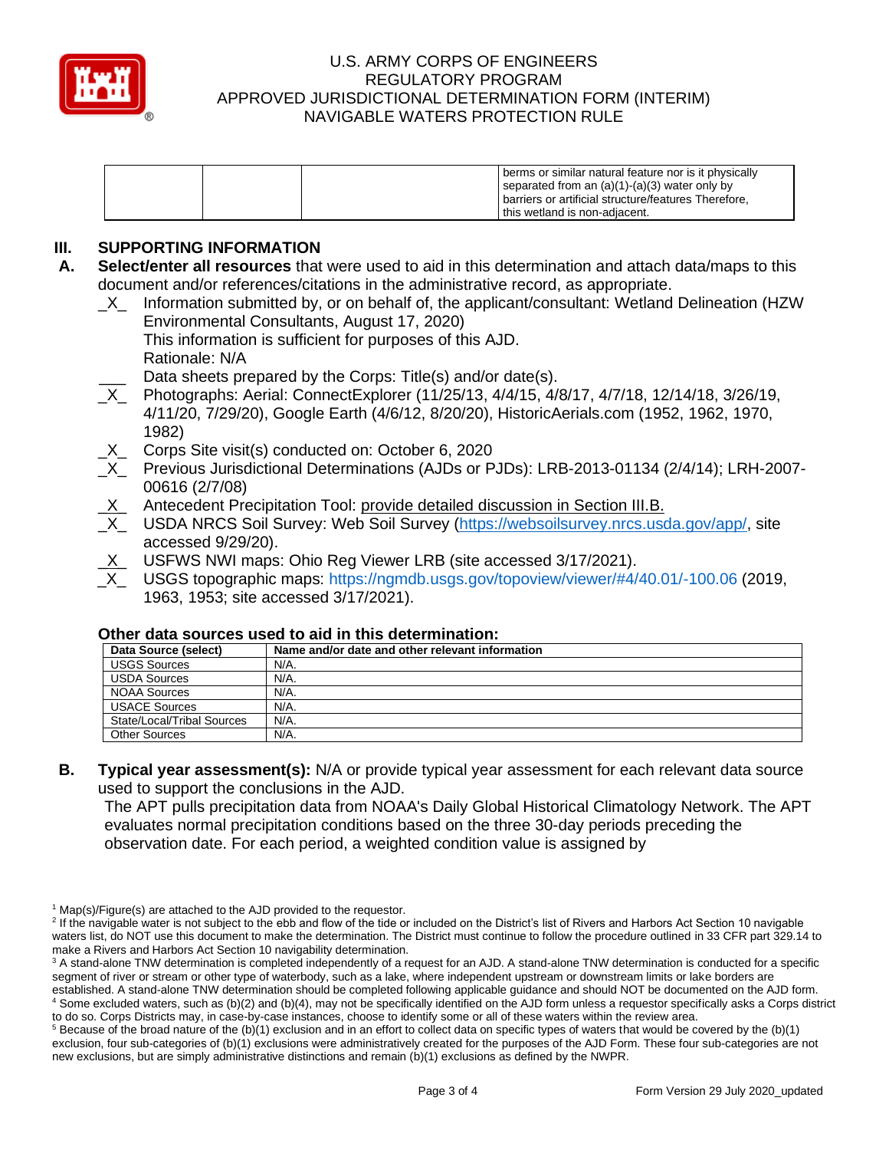

| I this wetland is non-adiacent. |
|---------------------------------|
|---------------------------------|

# **III. SUPPORTING INFORMATION**

- **A. Select/enter all resources** that were used to aid in this determination and attach data/maps to this document and/or references/citations in the administrative record, as appropriate.
	- \_X\_ Information submitted by, or on behalf of, the applicant/consultant: Wetland Delineation (HZW Environmental Consultants, August 17, 2020)
		- This information is sufficient for purposes of this AJD. Rationale: N/A
			- Data sheets prepared by the Corps: Title(s) and/or date(s).
	- Photographs: Aerial: ConnectExplorer (11/25/13, 4/4/15, 4/8/17, 4/7/18, 12/14/18, 3/26/19, 4/11/20, 7/29/20), Google Earth (4/6/12, 8/20/20), HistoricAerials.com (1952, 1962, 1970, 1982)
	- \_X\_ Corps Site visit(s) conducted on: October 6, 2020
	- \_X\_ Previous Jurisdictional Determinations (AJDs or PJDs): LRB-2013-01134 (2/4/14); LRH-2007- 00616 (2/7/08)
	- X\_ Antecedent Precipitation Tool: provide detailed discussion in Section III.B.
	- X USDA NRCS Soil Survey: Web Soil Survey [\(https://websoilsurvey.nrcs.usda.gov/app/,](https://websoilsurvey.nrcs.usda.gov/app/) site accessed 9/29/20).
	- USFWS NWI maps: Ohio Reg Viewer LRB (site accessed 3/17/2021).
	- \_X\_ USGS topographic maps:<https://ngmdb.usgs.gov/topoview/viewer/#4/40.01/-100.06> (2019, 1963, 1953; site accessed 3/17/2021).

| OUIGI UULU SUULUGS USGU LU UIU III LIIIS UGLGITIIIIIULIUII. |  |  |  |  |  |
|-------------------------------------------------------------|--|--|--|--|--|
| Name and/or date and other relevant information             |  |  |  |  |  |
| N/A.                                                        |  |  |  |  |  |
| N/A.                                                        |  |  |  |  |  |
| N/A.                                                        |  |  |  |  |  |
| N/A.                                                        |  |  |  |  |  |
| N/A.                                                        |  |  |  |  |  |
| N/A.                                                        |  |  |  |  |  |
|                                                             |  |  |  |  |  |

### **Other data sources used to aid in this determination:**

**B. Typical year assessment(s):** N/A or provide typical year assessment for each relevant data source used to support the conclusions in the AJD.

The APT pulls precipitation data from NOAA's Daily Global Historical Climatology Network. The APT evaluates normal precipitation conditions based on the three 30-day periods preceding the observation date. For each period, a weighted condition value is assigned by

 $1$  Map(s)/Figure(s) are attached to the AJD provided to the requestor.

<sup>&</sup>lt;sup>2</sup> If the navigable water is not subject to the ebb and flow of the tide or included on the District's list of Rivers and Harbors Act Section 10 navigable waters list, do NOT use this document to make the determination. The District must continue to follow the procedure outlined in 33 CFR part 329.14 to make a Rivers and Harbors Act Section 10 navigability determination.

<sup>&</sup>lt;sup>3</sup> A stand-alone TNW determination is completed independently of a request for an AJD. A stand-alone TNW determination is conducted for a specific segment of river or stream or other type of waterbody, such as a lake, where independent upstream or downstream limits or lake borders are established. A stand-alone TNW determination should be completed following applicable guidance and should NOT be documented on the AJD form. <sup>4</sup> Some excluded waters, such as (b)(2) and (b)(4), may not be specifically identified on the AJD form unless a requestor specifically asks a Corps district

to do so. Corps Districts may, in case-by-case instances, choose to identify some or all of these waters within the review area.  $5$  Because of the broad nature of the (b)(1) exclusion and in an effort to collect data on specific types of waters that would be covered by the (b)(1)

exclusion, four sub-categories of (b)(1) exclusions were administratively created for the purposes of the AJD Form. These four sub-categories are not new exclusions, but are simply administrative distinctions and remain (b)(1) exclusions as defined by the NWPR.